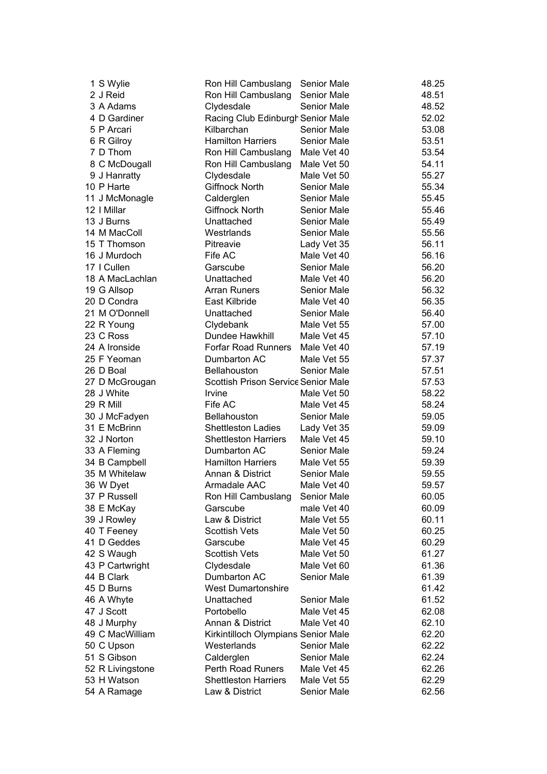| 1 S Wylie        | Ron Hill Cambuslang                 | <b>Senior Male</b> | 48.25 |
|------------------|-------------------------------------|--------------------|-------|
| 2 J Reid         | Ron Hill Cambuslang                 | Senior Male        | 48.51 |
| 3 A Adams        | Clydesdale                          | Senior Male        | 48.52 |
| 4 D Gardiner     | Racing Club Edinburgh Senior Male   |                    | 52.02 |
| 5 P Arcari       | Kilbarchan                          | Senior Male        | 53.08 |
| 6 R Gilroy       | <b>Hamilton Harriers</b>            | <b>Senior Male</b> | 53.51 |
| 7 D Thom         | Ron Hill Cambuslang                 | Male Vet 40        | 53.54 |
| 8 C McDougall    | Ron Hill Cambuslang                 | Male Vet 50        | 54.11 |
| 9 J Hanratty     | Clydesdale                          | Male Vet 50        | 55.27 |
| 10 P Harte       | Giffnock North                      | <b>Senior Male</b> | 55.34 |
| 11 J McMonagle   | Calderglen                          | Senior Male        | 55.45 |
| 12   Millar      | <b>Giffnock North</b>               | Senior Male        | 55.46 |
| 13 J Burns       | Unattached                          | Senior Male        | 55.49 |
| 14 M MacColl     | Westrlands                          | Senior Male        | 55.56 |
| 15 T Thomson     | Pitreavie                           | Lady Vet 35        | 56.11 |
| 16 J Murdoch     | Fife AC                             | Male Vet 40        | 56.16 |
| 17   Cullen      | Garscube                            | <b>Senior Male</b> | 56.20 |
| 18 A MacLachlan  | Unattached                          | Male Vet 40        | 56.20 |
| 19 G Allsop      | <b>Arran Runers</b>                 | <b>Senior Male</b> | 56.32 |
| 20 D Condra      | East Kilbride                       | Male Vet 40        | 56.35 |
| 21 M O'Donnell   | Unattached                          | Senior Male        | 56.40 |
| 22 R Young       | Clydebank                           | Male Vet 55        | 57.00 |
| 23 C Ross        | Dundee Hawkhill                     | Male Vet 45        | 57.10 |
| 24 A Ironside    | <b>Forfar Road Runners</b>          | Male Vet 40        |       |
| 25 F Yeoman      | Dumbarton AC                        |                    | 57.19 |
|                  |                                     | Male Vet 55        | 57.37 |
| 26 D Boal        | <b>Bellahouston</b>                 | <b>Senior Male</b> | 57.51 |
| 27 D McGrougan   | Scottish Prison Service Senior Male |                    | 57.53 |
| 28 J White       | Irvine                              | Male Vet 50        | 58.22 |
| 29 R Mill        | Fife AC                             | Male Vet 45        | 58.24 |
| 30 J McFadyen    | <b>Bellahouston</b>                 | Senior Male        | 59.05 |
| 31 E McBrinn     | <b>Shettleston Ladies</b>           | Lady Vet 35        | 59.09 |
| 32 J Norton      | <b>Shettleston Harriers</b>         | Male Vet 45        | 59.10 |
| 33 A Fleming     | Dumbarton AC                        | <b>Senior Male</b> | 59.24 |
| 34 B Campbell    | <b>Hamilton Harriers</b>            | Male Vet 55        | 59.39 |
| 35 M Whitelaw    | Annan & District                    | <b>Senior Male</b> | 59.55 |
| 36 W Dyet        | Armadale AAC                        | Male Vet 40        | 59.57 |
| 37 P Russell     | Ron Hill Cambuslang                 | <b>Senior Male</b> | 60.05 |
| 38 E McKay       | Garscube                            | male Vet 40        | 60.09 |
| 39 J Rowley      | Law & District                      | Male Vet 55        | 60.11 |
| 40 T Feeney      | <b>Scottish Vets</b>                | Male Vet 50        | 60.25 |
| 41 D Geddes      | Garscube                            | Male Vet 45        | 60.29 |
| 42 S Waugh       | <b>Scottish Vets</b>                | Male Vet 50        | 61.27 |
| 43 P Cartwright  | Clydesdale                          | Male Vet 60        | 61.36 |
| 44 B Clark       | Dumbarton AC                        | Senior Male        | 61.39 |
| 45 D Burns       | <b>West Dumartonshire</b>           |                    | 61.42 |
| 46 A Whyte       | Unattached                          | <b>Senior Male</b> | 61.52 |
| 47 J Scott       | Portobello                          | Male Vet 45        | 62.08 |
| 48 J Murphy      | Annan & District                    | Male Vet 40        | 62.10 |
| 49 C MacWilliam  | Kirkintilloch Olympians Senior Male |                    | 62.20 |
| 50 C Upson       | Westerlands                         | Senior Male        | 62.22 |
| 51 S Gibson      | Calderglen                          | Senior Male        | 62.24 |
| 52 R Livingstone | <b>Perth Road Runers</b>            | Male Vet 45        | 62.26 |
| 53 H Watson      | <b>Shettleston Harriers</b>         | Male Vet 55        | 62.29 |
| 54 A Ramage      | Law & District                      | Senior Male        | 62.56 |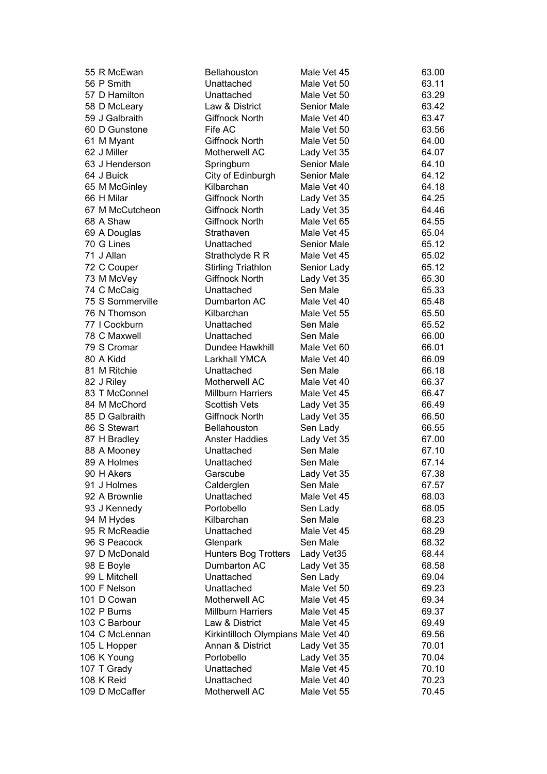|  | 55 R McEwan      | Bellahouston                        | Male Vet 45 | 63.00 |
|--|------------------|-------------------------------------|-------------|-------|
|  | 56 P Smith       | Unattached                          | Male Vet 50 | 63.11 |
|  | 57 D Hamilton    | Unattached                          | Male Vet 50 | 63.29 |
|  | 58 D McLeary     | Law & District                      | Senior Male | 63.42 |
|  | 59 J Galbraith   | <b>Giffnock North</b>               | Male Vet 40 | 63.47 |
|  | 60 D Gunstone    | Fife AC                             | Male Vet 50 | 63.56 |
|  | 61 M Myant       | <b>Giffnock North</b>               | Male Vet 50 | 64.00 |
|  | 62 J Miller      | Motherwell AC                       | Lady Vet 35 | 64.07 |
|  | 63 J Henderson   | Springburn                          | Senior Male | 64.10 |
|  | 64 J Buick       | City of Edinburgh                   | Senior Male | 64.12 |
|  | 65 M McGinley    | Kilbarchan                          | Male Vet 40 | 64.18 |
|  | 66 H Milar       | <b>Giffnock North</b>               | Lady Vet 35 | 64.25 |
|  | 67 M McCutcheon  | Giffnock North                      | Lady Vet 35 | 64.46 |
|  | 68 A Shaw        | <b>Giffnock North</b>               | Male Vet 65 | 64.55 |
|  | 69 A Douglas     | Strathaven                          | Male Vet 45 | 65.04 |
|  | 70 G Lines       | Unattached                          | Senior Male | 65.12 |
|  | 71 J Allan       | Strathclyde R R                     | Male Vet 45 | 65.02 |
|  | 72 C Couper      | <b>Stirling Triathlon</b>           | Senior Lady | 65.12 |
|  | 73 M McVey       | <b>Giffnock North</b>               | Lady Vet 35 | 65.30 |
|  | 74 C McCaig      | Unattached                          | Sen Male    | 65.33 |
|  | 75 S Sommerville | Dumbarton AC                        | Male Vet 40 | 65.48 |
|  | 76 N Thomson     | Kilbarchan                          | Male Vet 55 | 65.50 |
|  | 77   Cockburn    | Unattached                          | Sen Male    | 65.52 |
|  | 78 C Maxwell     | Unattached                          | Sen Male    | 66.00 |
|  | 79 S Cromar      | Dundee Hawkhill                     | Male Vet 60 | 66.01 |
|  | 80 A Kidd        | Larkhall YMCA                       | Male Vet 40 | 66.09 |
|  | 81 M Ritchie     | Unattached                          | Sen Male    | 66.18 |
|  | 82 J Riley       | Motherwell AC                       | Male Vet 40 | 66.37 |
|  | 83 T McConnel    | <b>Millburn Harriers</b>            | Male Vet 45 | 66.47 |
|  | 84 M McChord     | <b>Scottish Vets</b>                | Lady Vet 35 | 66.49 |
|  | 85 D Galbraith   | Giffnock North                      | Lady Vet 35 | 66.50 |
|  | 86 S Stewart     | <b>Bellahouston</b>                 | Sen Lady    | 66.55 |
|  | 87 H Bradley     | <b>Anster Haddies</b>               | Lady Vet 35 | 67.00 |
|  | 88 A Mooney      | Unattached                          | Sen Male    | 67.10 |
|  | 89 A Holmes      | Unattached                          | Sen Male    | 67.14 |
|  | 90 H Akers       | Garscube                            | Lady Vet 35 | 67.38 |
|  | 91 J Holmes      | Calderglen                          | Sen Male    | 67.57 |
|  | 92 A Brownlie    | Unattached                          | Male Vet 45 | 68.03 |
|  | 93 J Kennedy     | Portobello                          | Sen Lady    | 68.05 |
|  | 94 M Hydes       | Kilbarchan                          | Sen Male    | 68.23 |
|  | 95 R McReadie    | Unattached                          | Male Vet 45 | 68.29 |
|  | 96 S Peacock     | Glenpark                            | Sen Male    | 68.32 |
|  | 97 D McDonald    | <b>Hunters Bog Trotters</b>         | Lady Vet35  | 68.44 |
|  | 98 E Boyle       | Dumbarton AC                        | Lady Vet 35 | 68.58 |
|  | 99 L Mitchell    | Unattached                          | Sen Lady    | 69.04 |
|  | 100 F Nelson     | Unattached                          | Male Vet 50 | 69.23 |
|  | 101 D Cowan      | Motherwell AC                       | Male Vet 45 | 69.34 |
|  | 102 P Burns      | <b>Millburn Harriers</b>            | Male Vet 45 | 69.37 |
|  | 103 C Barbour    | Law & District                      | Male Vet 45 | 69.49 |
|  | 104 C McLennan   | Kirkintilloch Olympians Male Vet 40 |             | 69.56 |
|  | 105 L Hopper     | Annan & District                    | Lady Vet 35 | 70.01 |
|  | 106 K Young      | Portobello                          | Lady Vet 35 | 70.04 |
|  | 107 T Grady      | Unattached                          | Male Vet 45 | 70.10 |
|  | 108 K Reid       | Unattached                          | Male Vet 40 | 70.23 |
|  | 109 D McCaffer   | Motherwell AC                       | Male Vet 55 | 70.45 |
|  |                  |                                     |             |       |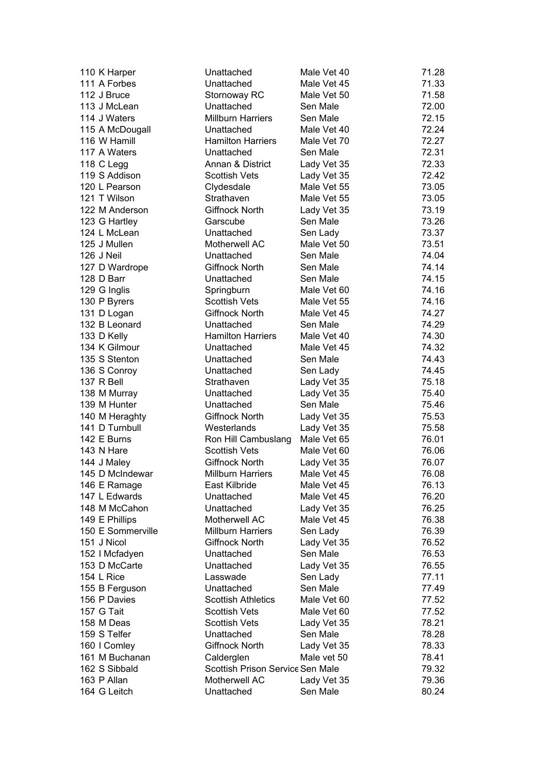| 110 K Harper                    | Unattached                          | Male Vet 40             | 71.28 |
|---------------------------------|-------------------------------------|-------------------------|-------|
| 111 A Forbes                    | Unattached                          | Male Vet 45             | 71.33 |
| 112 J Bruce                     | Stornoway RC                        | Male Vet 50             | 71.58 |
| 113 J McLean                    | Unattached                          | Sen Male                | 72.00 |
| 114 J Waters                    | <b>Millburn Harriers</b>            | Sen Male                | 72.15 |
| 115 A McDougall                 | Unattached                          | Male Vet 40             | 72.24 |
| 116 W Hamill                    | <b>Hamilton Harriers</b>            | Male Vet 70             | 72.27 |
| 117 A Waters                    | Unattached                          | Sen Male                | 72.31 |
| 118 C Legg                      | Annan & District                    | Lady Vet 35             | 72.33 |
| 119 S Addison                   | <b>Scottish Vets</b>                | Lady Vet 35             | 72.42 |
| 120 L Pearson                   | Clydesdale                          | Male Vet 55             | 73.05 |
| 121 T Wilson                    | Strathaven                          | Male Vet 55             | 73.05 |
| 122 M Anderson                  | <b>Giffnock North</b>               | Lady Vet 35             | 73.19 |
| 123 G Hartley                   | Garscube                            | Sen Male                | 73.26 |
| 124 L McLean                    | Unattached                          | Sen Lady                | 73.37 |
| 125 J Mullen                    | Motherwell AC                       | Male Vet 50             | 73.51 |
| 126 J Neil                      | Unattached                          | Sen Male                | 74.04 |
| 127 D Wardrope                  | <b>Giffnock North</b>               | Sen Male                | 74.14 |
| 128 D Barr                      | Unattached                          | Sen Male                | 74.15 |
| 129 G Inglis                    | Springburn                          | Male Vet 60             | 74.16 |
| 130 P Byrers                    | <b>Scottish Vets</b>                | Male Vet 55             | 74.16 |
| 131 D Logan                     | Giffnock North                      | Male Vet 45             | 74.27 |
| 132 B Leonard                   | Unattached                          | Sen Male                | 74.29 |
| 133 D Kelly                     | <b>Hamilton Harriers</b>            | Male Vet 40             | 74.30 |
| 134 K Gilmour                   | Unattached                          | Male Vet 45             | 74.32 |
| 135 S Stenton                   | Unattached                          | Sen Male                | 74.43 |
| 136 S Conroy                    | Unattached                          | Sen Lady                | 74.45 |
| 137 R Bell                      | Strathaven                          | Lady Vet 35             | 75.18 |
| 138 M Murray                    | Unattached                          | Lady Vet 35             | 75.40 |
| 139 M Hunter                    | Unattached                          | Sen Male                | 75.46 |
| 140 M Heraghty                  | <b>Giffnock North</b>               | Lady Vet 35             | 75.53 |
| 141 D Turnbull                  | Westerlands                         | Lady Vet 35             | 75.58 |
| 142 E Burns                     | Ron Hill Cambuslang                 | Male Vet 65             | 76.01 |
| 143 N Hare                      | <b>Scottish Vets</b>                | Male Vet 60             | 76.06 |
| 144 J Maley                     | Giffnock North                      | Lady Vet 35             | 76.07 |
| 145 D McIndewar                 | <b>Millburn Harriers</b>            | Male Vet 45             | 76.08 |
| 146 E Ramage                    | East Kilbride                       | Male Vet 45             | 76.13 |
| 147 L Edwards                   | Unattached                          | Male Vet 45             | 76.20 |
| 148 M McCahon                   | Unattached                          | Lady Vet 35             | 76.25 |
| 149 E Phillips                  | Motherwell AC                       | Male Vet 45             | 76.38 |
| 150 E Sommerville               | <b>Millburn Harriers</b>            | Sen Lady                | 76.39 |
| 151 J Nicol                     | Giffnock North                      | Lady Vet 35             | 76.52 |
|                                 | Unattached                          | Sen Male                | 76.53 |
| 152   Mcfadyen<br>153 D McCarte | Unattached                          |                         | 76.55 |
| 154 L Rice                      | Lasswade                            | Lady Vet 35<br>Sen Lady | 77.11 |
|                                 | Unattached                          | Sen Male                | 77.49 |
| 155 B Ferguson                  | <b>Scottish Athletics</b>           |                         |       |
| 156 P Davies<br>157 G Tait      | <b>Scottish Vets</b>                | Male Vet 60             | 77.52 |
|                                 |                                     | Male Vet 60             | 77.52 |
| 158 M Deas<br>159 S Telfer      | <b>Scottish Vets</b>                | Lady Vet 35<br>Sen Male | 78.21 |
|                                 | Unattached<br><b>Giffnock North</b> |                         | 78.28 |
| 160   Comley                    |                                     | Lady Vet 35             | 78.33 |
| 161 M Buchanan                  | Calderglen                          | Male vet 50             | 78.41 |
| 162 S Sibbald                   | Scottish Prison Service Sen Male    |                         | 79.32 |
| 163 P Allan                     | Motherwell AC                       | Lady Vet 35             | 79.36 |
| 164 G Leitch                    | Unattached                          | Sen Male                | 80.24 |